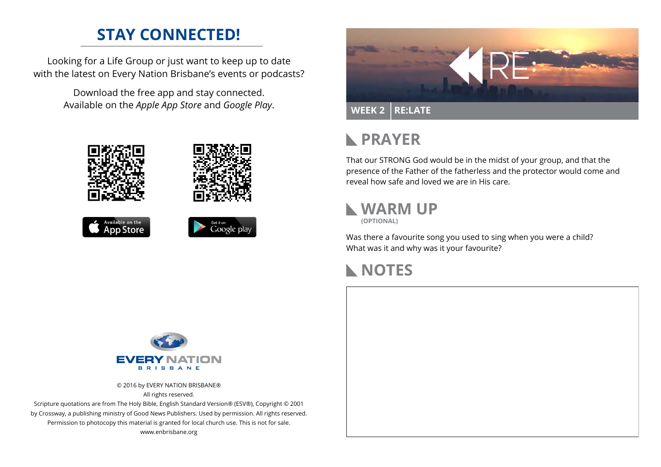## **STAY CONNECTED!**

Looking for a Life Group or just want to keep up to date with the latest on Every Nation Brisbane's events or podcasts?

> Download the free app and stay connected. Available on the *Apple App Store* and *Google Play*.





# **RAYER**

That our STRONG God would be in the midst of your group, and that the presence of the Father of the fatherless and the protector would come and reveal how safe and loved we are in His care.



Was there a favourite song you used to sing when you were a child? What was it and why was it your favourite?





© 2016 by EVERY NATION BRISBANE® All rights reserved.

Scripture quotations are from The Holy Bible, English Standard Version® (ESV®), Copyright © 2001 by Crossway, a publishing ministry of Good News Publishers. Used by permission. All rights reserved. Permission to photocopy this material is granted for local church use. This is not for sale. www.enbrisbane.org